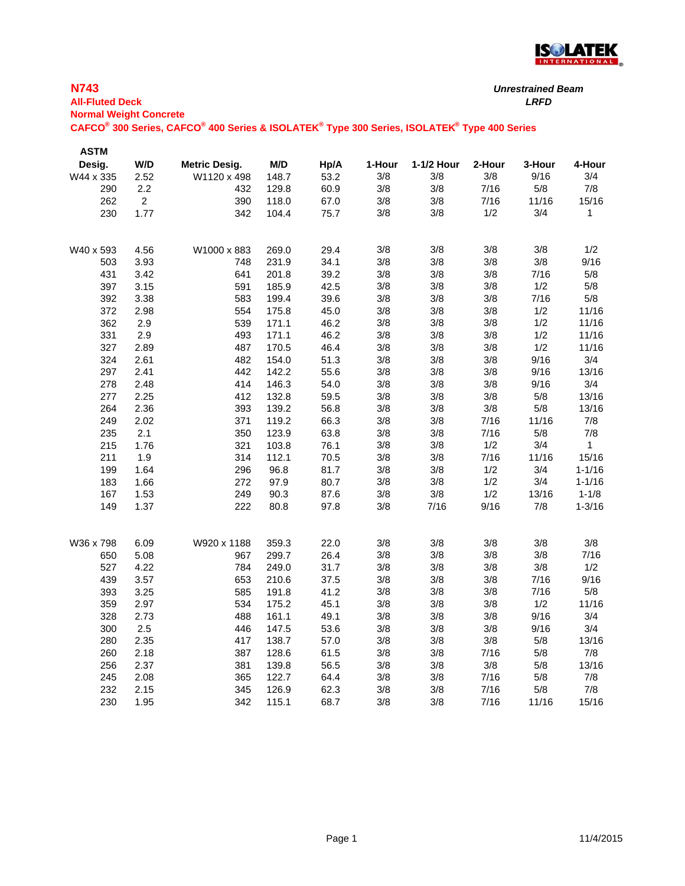

*Unrestrained Beam*

| <b>All-Fluted Deck</b>        |                |                                                                                             |       |      |        |            |        | <b>LRFD</b> |              |  |  |
|-------------------------------|----------------|---------------------------------------------------------------------------------------------|-------|------|--------|------------|--------|-------------|--------------|--|--|
| <b>Normal Weight Concrete</b> |                |                                                                                             |       |      |        |            |        |             |              |  |  |
|                               |                | CAFCO® 300 Series, CAFCO® 400 Series & ISOLATEK® Type 300 Series, ISOLATEK® Type 400 Series |       |      |        |            |        |             |              |  |  |
|                               |                |                                                                                             |       |      |        |            |        |             |              |  |  |
| <b>ASTM</b>                   |                |                                                                                             |       |      |        |            |        |             |              |  |  |
| Desig.                        | W/D            | <b>Metric Desig.</b>                                                                        | M/D   | Hp/A | 1-Hour | 1-1/2 Hour | 2-Hour | 3-Hour      | 4-Hour       |  |  |
| W44 x 335                     | 2.52           | W1120 x 498                                                                                 | 148.7 | 53.2 | 3/8    | 3/8        | 3/8    | 9/16        | 3/4          |  |  |
| 290                           | 2.2            | 432                                                                                         | 129.8 | 60.9 | 3/8    | 3/8        | 7/16   | 5/8         | 7/8          |  |  |
| 262                           | $\overline{a}$ | 390                                                                                         | 118.0 | 67.0 | 3/8    | 3/8        | 7/16   | 11/16       | 15/16        |  |  |
| 230                           | 1.77           | 342                                                                                         | 104.4 | 75.7 | 3/8    | 3/8        | 1/2    | 3/4         | 1            |  |  |
| W40 x 593                     | 4.56           | W1000 x 883                                                                                 | 269.0 | 29.4 | 3/8    | 3/8        | 3/8    | 3/8         | 1/2          |  |  |
| 503                           | 3.93           | 748                                                                                         | 231.9 | 34.1 | 3/8    | 3/8        | 3/8    | 3/8         | 9/16         |  |  |
| 431                           | 3.42           | 641                                                                                         | 201.8 | 39.2 | 3/8    | 3/8        | 3/8    | 7/16        | 5/8          |  |  |
| 397                           | 3.15           | 591                                                                                         | 185.9 | 42.5 | 3/8    | 3/8        | 3/8    | 1/2         | 5/8          |  |  |
| 392                           | 3.38           | 583                                                                                         | 199.4 | 39.6 | 3/8    | 3/8        | 3/8    | 7/16        | 5/8          |  |  |
| 372                           | 2.98           | 554                                                                                         | 175.8 | 45.0 | 3/8    | 3/8        | 3/8    | 1/2         | 11/16        |  |  |
| 362                           | 2.9            | 539                                                                                         | 171.1 | 46.2 | 3/8    | 3/8        | 3/8    | 1/2         | 11/16        |  |  |
| 331                           | 2.9            | 493                                                                                         | 171.1 | 46.2 | 3/8    | 3/8        | 3/8    | 1/2         | 11/16        |  |  |
| 327                           | 2.89           | 487                                                                                         | 170.5 | 46.4 | 3/8    | 3/8        | 3/8    | 1/2         | 11/16        |  |  |
| 324                           | 2.61           | 482                                                                                         | 154.0 | 51.3 | 3/8    | 3/8        | 3/8    | 9/16        | 3/4          |  |  |
| 297                           | 2.41           | 442                                                                                         | 142.2 | 55.6 | 3/8    | 3/8        | 3/8    | 9/16        | 13/16        |  |  |
| 278                           | 2.48           | 414                                                                                         | 146.3 | 54.0 | 3/8    | 3/8        | 3/8    | 9/16        | 3/4          |  |  |
| 277                           | 2.25           | 412                                                                                         | 132.8 | 59.5 | 3/8    | 3/8        | 3/8    | 5/8         | 13/16        |  |  |
| 264                           | 2.36           | 393                                                                                         | 139.2 | 56.8 | 3/8    | 3/8        | 3/8    | 5/8         | 13/16        |  |  |
| 249                           | 2.02           | 371                                                                                         | 119.2 | 66.3 | 3/8    | 3/8        | 7/16   | 11/16       | 7/8          |  |  |
| 235                           | 2.1            | 350                                                                                         | 123.9 | 63.8 | 3/8    | 3/8        | 7/16   | 5/8         | 7/8          |  |  |
| 215                           | 1.76           | 321                                                                                         | 103.8 | 76.1 | 3/8    | 3/8        | 1/2    | 3/4         | $\mathbf{1}$ |  |  |
| 211                           | 1.9            | 314                                                                                         | 112.1 | 70.5 | 3/8    | 3/8        | 7/16   | 11/16       | 15/16        |  |  |
| 199                           | 1.64           | 296                                                                                         | 96.8  | 81.7 | 3/8    | 3/8        | 1/2    | 3/4         | $1 - 1/16$   |  |  |
| 183                           | 1.66           | 272                                                                                         | 97.9  | 80.7 | 3/8    | 3/8        | 1/2    | 3/4         | $1 - 1/16$   |  |  |
| 167                           | 1.53           | 249                                                                                         | 90.3  | 87.6 | 3/8    | 3/8        | 1/2    | 13/16       | $1 - 1/8$    |  |  |
| 149                           | 1.37           | 222                                                                                         | 80.8  | 97.8 | 3/8    | 7/16       | 9/16   | 7/8         | $1 - 3/16$   |  |  |
| W36 x 798                     | 6.09           | W920 x 1188                                                                                 | 359.3 | 22.0 | 3/8    | 3/8        | 3/8    | 3/8         | 3/8          |  |  |
| 650                           | 5.08           | 967                                                                                         | 299.7 | 26.4 | 3/8    | 3/8        | 3/8    | 3/8         | 7/16         |  |  |
| 527                           | 4.22           | 784                                                                                         | 249.0 | 31.7 | 3/8    | 3/8        | 3/8    | 3/8         | 1/2          |  |  |
| 439                           | 3.57           | 653                                                                                         | 210.6 | 37.5 | 3/8    | 3/8        | 3/8    | 7/16        | 9/16         |  |  |
| 393                           | 3.25           | 585                                                                                         | 191.8 | 41.2 | 3/8    | 3/8        | 3/8    | 7/16        | 5/8          |  |  |
| 359                           | 2.97           | 534                                                                                         | 175.2 | 45.1 | 3/8    | 3/8        | 3/8    | 1/2         | 11/16        |  |  |
| 328                           | 2.73           | 488                                                                                         | 161.1 | 49.1 | 3/8    | 3/8        | 3/8    | 9/16        | 3/4          |  |  |
| 300                           | 2.5            | 446                                                                                         | 147.5 | 53.6 | 3/8    | 3/8        | 3/8    | 9/16        | 3/4          |  |  |
| 280                           | 2.35           | 417                                                                                         | 138.7 | 57.0 | 3/8    | 3/8        | 3/8    | 5/8         | 13/16        |  |  |
| 260                           | 2.18           | 387                                                                                         | 128.6 | 61.5 | 3/8    | 3/8        | 7/16   | 5/8         | 7/8          |  |  |
| 256                           | 2.37           | 381                                                                                         | 139.8 | 56.5 | 3/8    | 3/8        | $3/8$  | 5/8         | 13/16        |  |  |
| 245                           | 2.08           | 365                                                                                         | 122.7 | 64.4 | 3/8    | 3/8        | 7/16   | 5/8         | 7/8          |  |  |
| 232                           | 2.15           | 345                                                                                         | 126.9 | 62.3 | 3/8    | 3/8        | 7/16   | 5/8         | 7/8          |  |  |
| 230                           | 1.95           | 342                                                                                         | 115.1 | 68.7 | 3/8    | 3/8        | 7/16   | 11/16       | 15/16        |  |  |

**N743**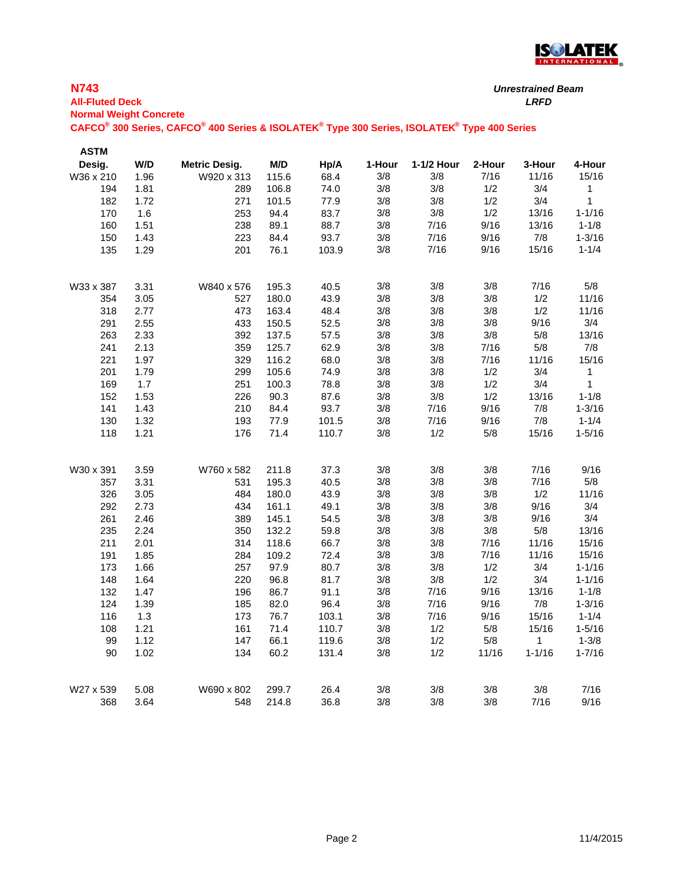

| <b>All-Fluted Deck</b>        |      |                                                                                             |       |       |        |            |        | <b>LRFD</b> |            |
|-------------------------------|------|---------------------------------------------------------------------------------------------|-------|-------|--------|------------|--------|-------------|------------|
| <b>Normal Weight Concrete</b> |      | CAFCO® 300 Series, CAFCO® 400 Series & ISOLATEK® Type 300 Series, ISOLATEK® Type 400 Series |       |       |        |            |        |             |            |
| <b>ASTM</b>                   |      |                                                                                             |       |       |        |            |        |             |            |
| Desig.                        | W/D  | <b>Metric Desig.</b>                                                                        | M/D   | Hp/A  | 1-Hour | 1-1/2 Hour | 2-Hour | 3-Hour      | 4-Hour     |
| W36 x 210                     | 1.96 | W920 x 313                                                                                  | 115.6 | 68.4  | 3/8    | 3/8        | 7/16   | 11/16       | 15/16      |
| 194                           | 1.81 | 289                                                                                         | 106.8 | 74.0  | 3/8    | 3/8        | 1/2    | 3/4         | 1          |
| 182                           | 1.72 | 271                                                                                         | 101.5 | 77.9  | 3/8    | 3/8        | 1/2    | 3/4         | 1          |
| 170                           | 1.6  | 253                                                                                         | 94.4  | 83.7  | $3/8$  | 3/8        | 1/2    | 13/16       | $1 - 1/16$ |
| 160                           | 1.51 | 238                                                                                         | 89.1  | 88.7  | 3/8    | 7/16       | 9/16   | 13/16       | $1 - 1/8$  |
| 150                           | 1.43 | 223                                                                                         | 84.4  | 93.7  | 3/8    | 7/16       | 9/16   | $7/8$       | $1 - 3/16$ |
| 135                           | 1.29 | 201                                                                                         | 76.1  | 103.9 | 3/8    | 7/16       | 9/16   | 15/16       | $1 - 1/4$  |
| W33 x 387                     | 3.31 | W840 x 576                                                                                  | 195.3 | 40.5  | 3/8    | 3/8        | 3/8    | 7/16        | $5/8$      |
| 354                           | 3.05 | 527                                                                                         | 180.0 | 43.9  | 3/8    | 3/8        | 3/8    | 1/2         | 11/16      |
| 318                           | 2.77 | 473                                                                                         | 163.4 | 48.4  | 3/8    | 3/8        | 3/8    | 1/2         | 11/16      |
| 291                           | 2.55 | 433                                                                                         | 150.5 | 52.5  | $3/8$  | 3/8        | 3/8    | 9/16        | 3/4        |
| 263                           | 2.33 | 392                                                                                         | 137.5 | 57.5  | 3/8    | 3/8        | 3/8    | 5/8         | 13/16      |
| 241                           | 2.13 | 359                                                                                         | 125.7 | 62.9  | $3/8$  | 3/8        | 7/16   | 5/8         | 7/8        |
| 221                           | 1.97 | 329                                                                                         | 116.2 | 68.0  | 3/8    | 3/8        | 7/16   | 11/16       | 15/16      |
| 201                           | 1.79 | 299                                                                                         | 105.6 | 74.9  | 3/8    | 3/8        | 1/2    | 3/4         | 1          |
| 169                           | 1.7  | 251                                                                                         | 100.3 | 78.8  | 3/8    | 3/8        | 1/2    | 3/4         | 1          |
| 152                           | 1.53 | 226                                                                                         | 90.3  | 87.6  | 3/8    | 3/8        | 1/2    | 13/16       | $1 - 1/8$  |
| 141                           | 1.43 | 210                                                                                         | 84.4  | 93.7  | $3/8$  | 7/16       | 9/16   | 7/8         | $1 - 3/16$ |
| 130                           | 1.32 | 193                                                                                         | 77.9  | 101.5 | 3/8    | 7/16       | 9/16   | 7/8         | $1 - 1/4$  |
| 118                           | 1.21 | 176                                                                                         | 71.4  | 110.7 | 3/8    | 1/2        | $5/8$  | 15/16       | $1 - 5/16$ |
| W30 x 391                     | 3.59 | W760 x 582                                                                                  | 211.8 | 37.3  | 3/8    | 3/8        | 3/8    | 7/16        | 9/16       |
| 357                           | 3.31 | 531                                                                                         | 195.3 | 40.5  | $3/8$  | 3/8        | 3/8    | 7/16        | 5/8        |
| 326                           | 3.05 | 484                                                                                         | 180.0 | 43.9  | 3/8    | 3/8        | 3/8    | 1/2         | 11/16      |
| 292                           | 2.73 | 434                                                                                         | 161.1 | 49.1  | 3/8    | 3/8        | 3/8    | 9/16        | 3/4        |
| 261                           | 2.46 | 389                                                                                         | 145.1 | 54.5  | 3/8    | 3/8        | 3/8    | 9/16        | 3/4        |
| 235                           | 2.24 | 350                                                                                         | 132.2 | 59.8  | 3/8    | $3/8$      | 3/8    | $5/8$       | 13/16      |
| 211                           | 2.01 | 314                                                                                         | 118.6 | 66.7  | 3/8    | 3/8        | 7/16   | 11/16       | 15/16      |
| 191                           | 1.85 | 284                                                                                         | 109.2 | 72.4  | 3/8    | 3/8        | 7/16   | 11/16       | 15/16      |
| 173                           | 1.66 | 257                                                                                         | 97.9  | 80.7  | 3/8    | 3/8        | 1/2    | 3/4         | $1 - 1/16$ |
| 148                           | 1.64 | 220                                                                                         | 96.8  | 81.7  | 3/8    | 3/8        | 1/2    | 3/4         | $1 - 1/16$ |
| 132                           | 1.47 | 196                                                                                         | 86.7  | 91.1  | 3/8    | 7/16       | 9/16   | 13/16       | $1 - 1/8$  |
| 124                           | 1.39 | 185                                                                                         | 82.0  | 96.4  | 3/8    | 7/16       | 9/16   | 7/8         | $1 - 3/16$ |
| 116                           | 1.3  | 173                                                                                         | 76.7  | 103.1 | $3/8$  | 7/16       | 9/16   | 15/16       | $1 - 1/4$  |
| 108                           | 1.21 | 161                                                                                         | 71.4  | 110.7 | $3/8$  | 1/2        | 5/8    | 15/16       | $1 - 5/16$ |
| 99                            | 1.12 | 147                                                                                         | 66.1  | 119.6 | $3/8$  | 1/2        | 5/8    | 1           | $1 - 3/8$  |
| 90                            | 1.02 | 134                                                                                         | 60.2  | 131.4 | 3/8    | 1/2        | 11/16  | $1 - 1/16$  | $1 - 7/16$ |
| W27 x 539                     | 5.08 | W690 x 802                                                                                  | 299.7 | 26.4  | $3/8$  | 3/8        | 3/8    | 3/8         | 7/16       |
| 368                           | 3.64 | 548                                                                                         | 214.8 | 36.8  | 3/8    | $3/8$      | 3/8    | 7/16        | 9/16       |

**N743**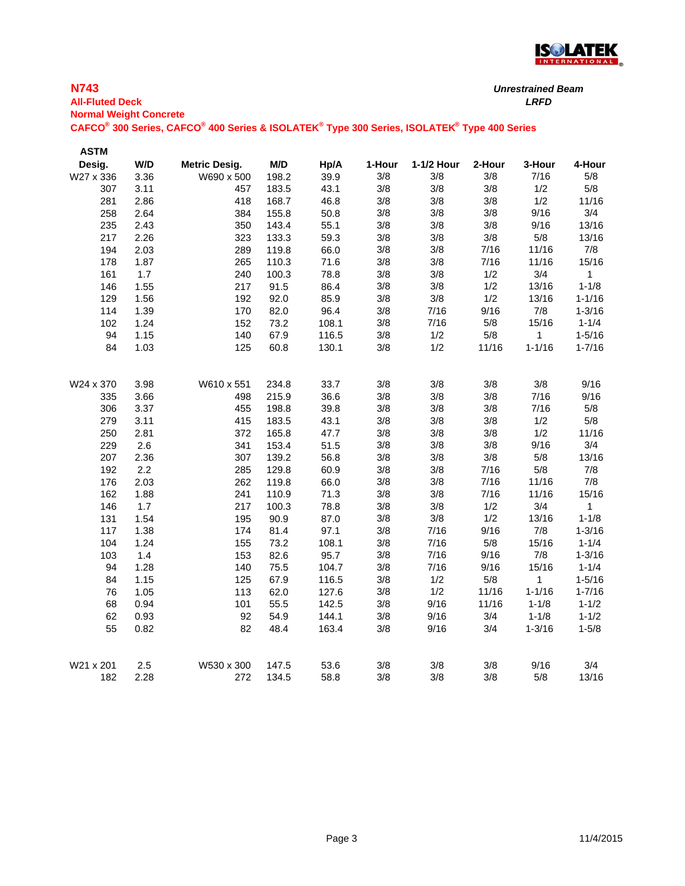

| <b>All-Fluted Deck</b><br><b>Normal Weight Concrete</b> |      |                                                                                             |       |       |        |            |        | <b>LRFD</b>  |            |
|---------------------------------------------------------|------|---------------------------------------------------------------------------------------------|-------|-------|--------|------------|--------|--------------|------------|
|                                                         |      | CAFCO® 300 Series, CAFCO® 400 Series & ISOLATEK® Type 300 Series, ISOLATEK® Type 400 Series |       |       |        |            |        |              |            |
| <b>ASTM</b>                                             |      |                                                                                             |       |       |        |            |        |              |            |
| Desig.                                                  | W/D  | <b>Metric Desig.</b>                                                                        | M/D   | Hp/A  | 1-Hour | 1-1/2 Hour | 2-Hour | 3-Hour       | 4-Hour     |
| W27 x 336                                               | 3.36 | W690 x 500                                                                                  | 198.2 | 39.9  | 3/8    | 3/8        | 3/8    | 7/16         | 5/8        |
| 307                                                     | 3.11 | 457                                                                                         | 183.5 | 43.1  | 3/8    | 3/8        | 3/8    | 1/2          | 5/8        |
| 281                                                     | 2.86 | 418                                                                                         | 168.7 | 46.8  | 3/8    | 3/8        | 3/8    | 1/2          | 11/16      |
| 258                                                     | 2.64 | 384                                                                                         | 155.8 | 50.8  | 3/8    | 3/8        | 3/8    | 9/16         | 3/4        |
| 235                                                     | 2.43 | 350                                                                                         | 143.4 | 55.1  | 3/8    | 3/8        | 3/8    | 9/16         | 13/16      |
| 217                                                     | 2.26 | 323                                                                                         | 133.3 | 59.3  | 3/8    | $3/8$      | 3/8    | $5/8$        | 13/16      |
| 194                                                     | 2.03 | 289                                                                                         | 119.8 | 66.0  | 3/8    | 3/8        | 7/16   | 11/16        | 7/8        |
| 178                                                     | 1.87 | 265                                                                                         | 110.3 | 71.6  | 3/8    | 3/8        | 7/16   | 11/16        | 15/16      |
| 161                                                     | 1.7  | 240                                                                                         | 100.3 | 78.8  | 3/8    | 3/8        | 1/2    | 3/4          | 1          |
| 146                                                     | 1.55 | 217                                                                                         | 91.5  | 86.4  | 3/8    | 3/8        | 1/2    | 13/16        | $1 - 1/8$  |
| 129                                                     | 1.56 | 192                                                                                         | 92.0  | 85.9  | 3/8    | $3/8$      | 1/2    | 13/16        | $1 - 1/16$ |
| 114                                                     | 1.39 | 170                                                                                         | 82.0  | 96.4  | 3/8    | 7/16       | 9/16   | $7/8$        | $1 - 3/16$ |
| 102                                                     | 1.24 | 152                                                                                         | 73.2  | 108.1 | 3/8    | 7/16       | $5/8$  | 15/16        | $1 - 1/4$  |
| 94                                                      | 1.15 | 140                                                                                         | 67.9  | 116.5 | 3/8    | 1/2        | 5/8    | $\mathbf{1}$ | $1 - 5/16$ |
| 84                                                      | 1.03 | 125                                                                                         | 60.8  | 130.1 | 3/8    | 1/2        | 11/16  | $1 - 1/16$   | $1 - 7/16$ |
| W24 x 370                                               | 3.98 | W610 x 551                                                                                  | 234.8 | 33.7  | 3/8    | 3/8        | 3/8    | 3/8          | 9/16       |
| 335                                                     | 3.66 | 498                                                                                         | 215.9 | 36.6  | 3/8    | 3/8        | 3/8    | 7/16         | 9/16       |
| 306                                                     | 3.37 | 455                                                                                         | 198.8 | 39.8  | 3/8    | 3/8        | 3/8    | 7/16         | $5/8$      |
| 279                                                     | 3.11 | 415                                                                                         | 183.5 | 43.1  | 3/8    | 3/8        | 3/8    | 1/2          | $5/8$      |
| 250                                                     | 2.81 | 372                                                                                         | 165.8 | 47.7  | 3/8    | 3/8        | 3/8    | 1/2          | 11/16      |
| 229                                                     | 2.6  | 341                                                                                         | 153.4 | 51.5  | 3/8    | 3/8        | 3/8    | 9/16         | 3/4        |
| 207                                                     | 2.36 | 307                                                                                         | 139.2 | 56.8  | 3/8    | 3/8        | 3/8    | $5/8$        | 13/16      |
| 192                                                     | 2.2  | 285                                                                                         | 129.8 | 60.9  | 3/8    | 3/8        | 7/16   | 5/8          | 7/8        |
| 176                                                     | 2.03 | 262                                                                                         | 119.8 | 66.0  | 3/8    | $3/8$      | 7/16   | 11/16        | 7/8        |
| 162                                                     | 1.88 | 241                                                                                         | 110.9 | 71.3  | 3/8    | 3/8        | 7/16   | 11/16        | 15/16      |
| 146                                                     | 1.7  | 217                                                                                         | 100.3 | 78.8  | 3/8    | 3/8        | 1/2    | 3/4          | 1          |
| 131                                                     | 1.54 | 195                                                                                         | 90.9  | 87.0  | 3/8    | $3/8$      | 1/2    | 13/16        | $1 - 1/8$  |
| 117                                                     | 1.38 | 174                                                                                         | 81.4  | 97.1  | 3/8    | 7/16       | 9/16   | 7/8          | $1 - 3/16$ |
| 104                                                     | 1.24 | 155                                                                                         | 73.2  | 108.1 | 3/8    | 7/16       | $5/8$  | 15/16        | $1 - 1/4$  |
| 103                                                     | 1.4  | 153                                                                                         | 82.6  | 95.7  | 3/8    | 7/16       | 9/16   | 7/8          | $1 - 3/16$ |
| 94                                                      | 1.28 | 140                                                                                         | 75.5  | 104.7 | 3/8    | 7/16       | 9/16   | 15/16        | $1 - 1/4$  |
| 84                                                      | 1.15 | 125                                                                                         | 67.9  | 116.5 | 3/8    | 1/2        | $5/8$  | $\mathbf{1}$ | $1 - 5/16$ |
| 76                                                      | 1.05 | 113                                                                                         | 62.0  | 127.6 | 3/8    | 1/2        | 11/16  | $1 - 1/16$   | $1 - 7/16$ |
| 68                                                      | 0.94 | 101                                                                                         | 55.5  | 142.5 | 3/8    | 9/16       | 11/16  | $1 - 1/8$    | $1 - 1/2$  |
| 62                                                      | 0.93 | 92                                                                                          | 54.9  | 144.1 | 3/8    | 9/16       | 3/4    | $1 - 1/8$    | $1 - 1/2$  |
| 55                                                      | 0.82 | 82                                                                                          | 48.4  | 163.4 | 3/8    | 9/16       | 3/4    | $1 - 3/16$   | $1 - 5/8$  |
| W21 x 201                                               | 2.5  | W530 x 300                                                                                  | 147.5 | 53.6  | 3/8    | 3/8        | 3/8    | 9/16         | 3/4        |

## **N743**

*Unrestrained Beam*

182 2.28 272 134.5 58.8 3/8 3/8 3/8 5/8 13/16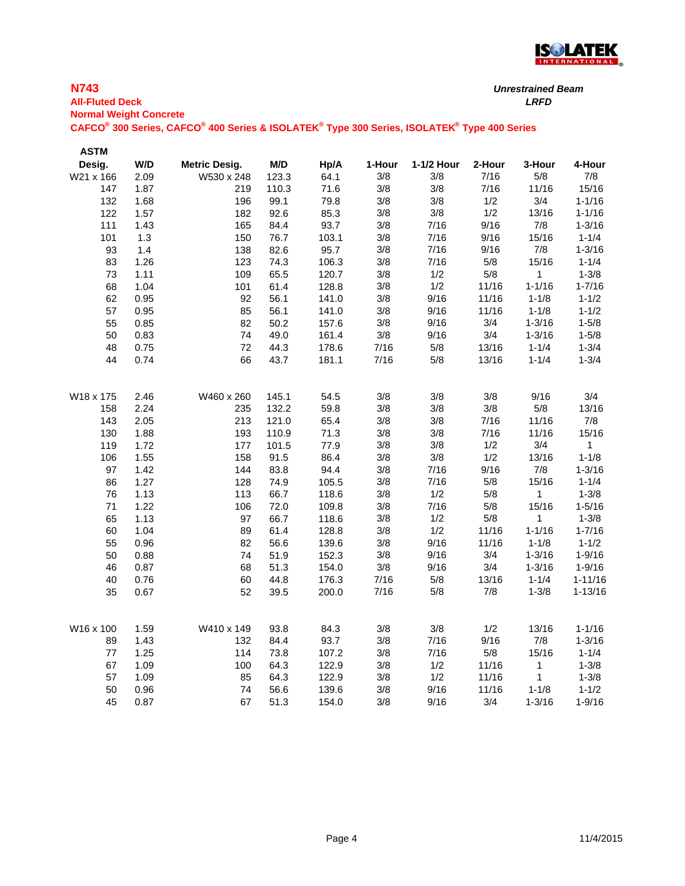

## **N743 All-Fluted Deck** *LRFD* **Normal Weight Concrete CAFCO® 300 Series, CAFCO® 400 Series & ISOLATEK® Type 300 Series, ISOLATEK® Type 400 Series** *Unrestrained Beam*

| <b>ASTM</b> |      |                      |       |       |        |            |        |              |             |
|-------------|------|----------------------|-------|-------|--------|------------|--------|--------------|-------------|
| Desig.      | W/D  | <b>Metric Desig.</b> | M/D   | Hp/A  | 1-Hour | 1-1/2 Hour | 2-Hour | 3-Hour       | 4-Hour      |
| W21 x 166   | 2.09 | W530 x 248           | 123.3 | 64.1  | 3/8    | 3/8        | 7/16   | 5/8          | 7/8         |
| 147         | 1.87 | 219                  | 110.3 | 71.6  | 3/8    | 3/8        | 7/16   | 11/16        | 15/16       |
| 132         | 1.68 | 196                  | 99.1  | 79.8  | 3/8    | 3/8        | 1/2    | 3/4          | $1 - 1/16$  |
| 122         | 1.57 | 182                  | 92.6  | 85.3  | 3/8    | $3/8$      | 1/2    | 13/16        | $1 - 1/16$  |
| 111         | 1.43 | 165                  | 84.4  | 93.7  | 3/8    | 7/16       | 9/16   | 7/8          | $1 - 3/16$  |
| 101         | 1.3  | 150                  | 76.7  | 103.1 | 3/8    | 7/16       | 9/16   | 15/16        | $1 - 1/4$   |
| 93          | 1.4  | 138                  | 82.6  | 95.7  | 3/8    | 7/16       | 9/16   | 7/8          | $1 - 3/16$  |
| 83          | 1.26 | 123                  | 74.3  | 106.3 | 3/8    | 7/16       | $5/8$  | 15/16        | $1 - 1/4$   |
| 73          | 1.11 | 109                  | 65.5  | 120.7 | 3/8    | 1/2        | $5/8$  | $\mathbf{1}$ | $1 - 3/8$   |
| 68          | 1.04 | 101                  | 61.4  | 128.8 | 3/8    | 1/2        | 11/16  | $1 - 1/16$   | $1 - 7/16$  |
| 62          | 0.95 | 92                   | 56.1  | 141.0 | 3/8    | 9/16       | 11/16  | $1 - 1/8$    | $1 - 1/2$   |
| 57          | 0.95 | 85                   | 56.1  | 141.0 | 3/8    | 9/16       | 11/16  | $1 - 1/8$    | $1 - 1/2$   |
| 55          | 0.85 | 82                   | 50.2  | 157.6 | 3/8    | 9/16       | 3/4    | $1 - 3/16$   | $1 - 5/8$   |
| 50          | 0.83 | 74                   | 49.0  | 161.4 | 3/8    | 9/16       | 3/4    | $1 - 3/16$   | $1 - 5/8$   |
| 48          | 0.75 | 72                   | 44.3  | 178.6 | 7/16   | $5/8$      | 13/16  | $1 - 1/4$    | $1 - 3/4$   |
| 44          | 0.74 | 66                   | 43.7  | 181.1 | 7/16   | 5/8        | 13/16  | $1 - 1/4$    | $1 - 3/4$   |
|             |      |                      |       |       |        |            |        |              |             |
| W18 x 175   | 2.46 | W460 x 260           | 145.1 | 54.5  | 3/8    | 3/8        | 3/8    | 9/16         | 3/4         |
| 158         | 2.24 | 235                  | 132.2 | 59.8  | 3/8    | 3/8        | $3/8$  | $5/8$        | 13/16       |
| 143         | 2.05 | 213                  | 121.0 | 65.4  | 3/8    | 3/8        | 7/16   | 11/16        | 7/8         |
| 130         | 1.88 | 193                  | 110.9 | 71.3  | 3/8    | 3/8        | 7/16   | 11/16        | 15/16       |
| 119         | 1.72 | 177                  | 101.5 | 77.9  | 3/8    | 3/8        | 1/2    | 3/4          | 1           |
| 106         | 1.55 | 158                  | 91.5  | 86.4  | 3/8    | 3/8        | 1/2    | 13/16        | $1 - 1/8$   |
| 97          | 1.42 | 144                  | 83.8  | 94.4  | 3/8    | 7/16       | 9/16   | 7/8          | $1 - 3/16$  |
| 86          | 1.27 | 128                  | 74.9  | 105.5 | 3/8    | 7/16       | $5/8$  | 15/16        | $1 - 1/4$   |
| 76          | 1.13 | 113                  | 66.7  | 118.6 | 3/8    | 1/2        | $5/8$  | $\mathbf{1}$ | $1 - 3/8$   |
| 71          | 1.22 | 106                  | 72.0  | 109.8 | 3/8    | 7/16       | $5/8$  | 15/16        | $1 - 5/16$  |
| 65          | 1.13 | 97                   | 66.7  | 118.6 | 3/8    | 1/2        | $5/8$  | $\mathbf{1}$ | $1 - 3/8$   |
| 60          | 1.04 | 89                   | 61.4  | 128.8 | 3/8    | 1/2        | 11/16  | $1 - 1/16$   | $1 - 7/16$  |
| 55          | 0.96 | 82                   | 56.6  | 139.6 | 3/8    | 9/16       | 11/16  | $1 - 1/8$    | $1 - 1/2$   |
| 50          | 0.88 | 74                   | 51.9  | 152.3 | 3/8    | 9/16       | 3/4    | $1 - 3/16$   | $1 - 9/16$  |
| 46          | 0.87 | 68                   | 51.3  | 154.0 | 3/8    | 9/16       | 3/4    | $1 - 3/16$   | $1 - 9/16$  |
| 40          | 0.76 | 60                   | 44.8  | 176.3 | 7/16   | $5/8$      | 13/16  | $1 - 1/4$    | $1 - 11/16$ |
| 35          | 0.67 | 52                   | 39.5  | 200.0 | 7/16   | 5/8        | $7/8$  | $1 - 3/8$    | $1 - 13/16$ |
|             |      |                      |       |       |        |            |        |              |             |
| W16 x 100   | 1.59 | W410 x 149           | 93.8  | 84.3  | 3/8    | 3/8        | 1/2    | 13/16        | $1 - 1/16$  |
| 89          | 1.43 | 132                  | 84.4  | 93.7  | 3/8    | 7/16       | 9/16   | $7/8$        | $1 - 3/16$  |
| $77 \,$     | 1.25 | 114                  | 73.8  | 107.2 | 3/8    | 7/16       | $5/8$  | 15/16        | $1 - 1/4$   |
| 67          | 1.09 | 100                  | 64.3  | 122.9 | 3/8    | 1/2        | 11/16  | 1            | $1 - 3/8$   |
| 57          | 1.09 | 85                   | 64.3  | 122.9 | 3/8    | 1/2        | 11/16  | $\mathbf{1}$ | $1 - 3/8$   |
| 50          | 0.96 | 74                   | 56.6  | 139.6 | 3/8    | 9/16       | 11/16  | $1 - 1/8$    | $1 - 1/2$   |
| 45          | 0.87 | 67                   | 51.3  | 154.0 | 3/8    | 9/16       | 3/4    | $1 - 3/16$   | $1 - 9/16$  |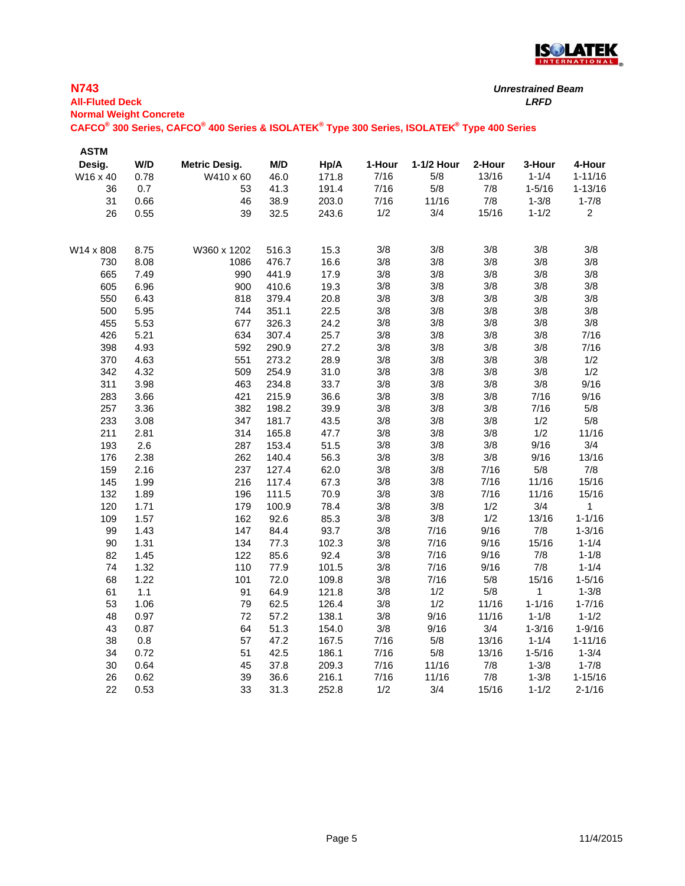

| <b>N743</b><br><b>All-Fluted Deck</b><br><b>Normal Weight Concrete</b> |      |                                                                                             |       |       |        |            |        | <b>Unrestrained Beam</b><br><b>LRFD</b> |                |
|------------------------------------------------------------------------|------|---------------------------------------------------------------------------------------------|-------|-------|--------|------------|--------|-----------------------------------------|----------------|
|                                                                        |      | CAFCO® 300 Series, CAFCO® 400 Series & ISOLATEK® Type 300 Series, ISOLATEK® Type 400 Series |       |       |        |            |        |                                         |                |
| <b>ASTM</b>                                                            |      |                                                                                             |       |       |        |            |        |                                         |                |
| Desig.                                                                 | W/D  | <b>Metric Desig.</b>                                                                        | M/D   | Hp/A  | 1-Hour | 1-1/2 Hour | 2-Hour | 3-Hour                                  | 4-Hour         |
| W16 x 40                                                               | 0.78 | W410 x 60                                                                                   | 46.0  | 171.8 | 7/16   | 5/8        | 13/16  | $1 - 1/4$                               | $1 - 11/16$    |
| 36                                                                     | 0.7  | 53                                                                                          | 41.3  | 191.4 | 7/16   | $5/8$      | 7/8    | $1 - 5/16$                              | $1 - 13/16$    |
| 31                                                                     | 0.66 | 46                                                                                          | 38.9  | 203.0 | 7/16   | 11/16      | 7/8    | $1 - 3/8$                               | $1 - 7/8$      |
| 26                                                                     | 0.55 | 39                                                                                          | 32.5  | 243.6 | 1/2    | 3/4        | 15/16  | $1 - 1/2$                               | $\overline{c}$ |
| W14 x 808                                                              | 8.75 | W360 x 1202                                                                                 | 516.3 | 15.3  | 3/8    | 3/8        | 3/8    | 3/8                                     | 3/8            |
| 730                                                                    | 8.08 | 1086                                                                                        | 476.7 | 16.6  | 3/8    | 3/8        | 3/8    | 3/8                                     | 3/8            |
| 665                                                                    | 7.49 | 990                                                                                         | 441.9 | 17.9  | 3/8    | 3/8        | 3/8    | 3/8                                     | 3/8            |
| 605                                                                    | 6.96 | 900                                                                                         | 410.6 | 19.3  | 3/8    | 3/8        | 3/8    | $3/8$                                   | 3/8            |
| 550                                                                    | 6.43 | 818                                                                                         | 379.4 | 20.8  | 3/8    | 3/8        | 3/8    | 3/8                                     | 3/8            |
| 500                                                                    | 5.95 | 744                                                                                         | 351.1 | 22.5  | 3/8    | 3/8        | 3/8    | 3/8                                     | 3/8            |
| 455                                                                    | 5.53 | 677                                                                                         | 326.3 | 24.2  | 3/8    | 3/8        | 3/8    | 3/8                                     | 3/8            |
| 426                                                                    | 5.21 | 634                                                                                         | 307.4 | 25.7  | 3/8    | 3/8        | 3/8    | 3/8                                     | 7/16           |
| 398                                                                    | 4.93 | 592                                                                                         | 290.9 | 27.2  | 3/8    | 3/8        | 3/8    | 3/8                                     | 7/16           |
| 370                                                                    | 4.63 | 551                                                                                         | 273.2 | 28.9  | 3/8    | $3/8$      | 3/8    | 3/8                                     | 1/2            |
| 342                                                                    | 4.32 | 509                                                                                         | 254.9 | 31.0  | 3/8    | 3/8        | 3/8    | 3/8                                     | 1/2            |
| 311                                                                    | 3.98 | 463                                                                                         | 234.8 | 33.7  | 3/8    | $3/8$      | 3/8    | $3/8$                                   | 9/16           |
| 283                                                                    | 3.66 | 421                                                                                         | 215.9 | 36.6  | 3/8    | $3/8$      | 3/8    | 7/16                                    | 9/16           |
| 257                                                                    | 3.36 | 382                                                                                         | 198.2 | 39.9  | 3/8    | $3/8$      | 3/8    | 7/16                                    | 5/8            |
| 233                                                                    | 3.08 | 347                                                                                         | 181.7 | 43.5  | 3/8    | $3/8$      | 3/8    | 1/2                                     | 5/8            |
| 211                                                                    | 2.81 | 314                                                                                         | 165.8 | 47.7  | 3/8    | $3/8$      | 3/8    | 1/2                                     | 11/16          |
| 193                                                                    | 2.6  | 287                                                                                         | 153.4 | 51.5  | 3/8    | 3/8        | 3/8    | 9/16                                    | 3/4            |
| 176                                                                    | 2.38 | 262                                                                                         | 140.4 | 56.3  | 3/8    | 3/8        | 3/8    | 9/16                                    | 13/16          |
| 159                                                                    | 2.16 | 237                                                                                         | 127.4 | 62.0  | 3/8    | $3/8$      | 7/16   | 5/8                                     | 7/8            |
| 145                                                                    | 1.99 | 216                                                                                         | 117.4 | 67.3  | 3/8    | 3/8        | 7/16   | 11/16                                   | 15/16          |
| 132                                                                    | 1.89 | 196                                                                                         | 111.5 | 70.9  | 3/8    | 3/8        | 7/16   | 11/16                                   | 15/16          |
| 120                                                                    | 1.71 | 179                                                                                         | 100.9 | 78.4  | 3/8    | 3/8        | 1/2    | 3/4                                     | 1              |
| 109                                                                    | 1.57 | 162                                                                                         | 92.6  | 85.3  | 3/8    | $3/8$      | 1/2    | 13/16                                   | $1 - 1/16$     |
| 99                                                                     | 1.43 | 147                                                                                         | 84.4  | 93.7  | 3/8    | 7/16       | 9/16   | 7/8                                     | $1 - 3/16$     |
| 90                                                                     | 1.31 | 134                                                                                         | 77.3  | 102.3 | 3/8    | 7/16       | 9/16   | 15/16                                   | $1 - 1/4$      |
| 82                                                                     | 1.45 | 122                                                                                         | 85.6  | 92.4  | 3/8    | 7/16       | 9/16   | 7/8                                     | $1 - 1/8$      |
| 74                                                                     | 1.32 | 110                                                                                         | 77.9  | 101.5 | 3/8    | 7/16       | 9/16   | 7/8                                     | $1 - 1/4$      |
| 68                                                                     | 1.22 | 101                                                                                         | 72.0  | 109.8 | 3/8    | 7/16       | 5/8    | 15/16                                   | $1 - 5/16$     |
| 61                                                                     | 1.1  | 91                                                                                          | 64.9  | 121.8 | 3/8    | 1/2        | 5/8    | $\mathbf{1}$                            | $1 - 3/8$      |
| 53                                                                     | 1.06 | 79                                                                                          | 62.5  | 126.4 | 3/8    | 1/2        | 11/16  | $1 - 1/16$                              | $1 - 7/16$     |
| 48                                                                     | 0.97 | 72                                                                                          | 57.2  | 138.1 | $3/8$  | 9/16       | 11/16  | $1 - 1/8$                               | $1 - 1/2$      |
| 43                                                                     | 0.87 | 64                                                                                          | 51.3  | 154.0 | 3/8    | 9/16       | 3/4    | $1 - 3/16$                              | $1 - 9/16$     |
| 38                                                                     | 0.8  | 57                                                                                          | 47.2  | 167.5 | 7/16   | 5/8        | 13/16  | $1 - 1/4$                               | $1 - 11/16$    |
| 34                                                                     | 0.72 | 51                                                                                          | 42.5  | 186.1 | 7/16   | 5/8        | 13/16  | $1 - 5/16$                              | $1 - 3/4$      |
| 30                                                                     | 0.64 | 45                                                                                          | 37.8  | 209.3 | 7/16   | 11/16      | 7/8    | $1 - 3/8$                               | $1 - 7/8$      |
| 26                                                                     | 0.62 | 39                                                                                          | 36.6  | 216.1 | 7/16   | 11/16      | 7/8    | $1 - 3/8$                               | $1 - 15/16$    |
| 22                                                                     | 0.53 | 33                                                                                          | 31.3  | 252.8 | 1/2    | 3/4        | 15/16  | $1 - 1/2$                               | $2 - 1/16$     |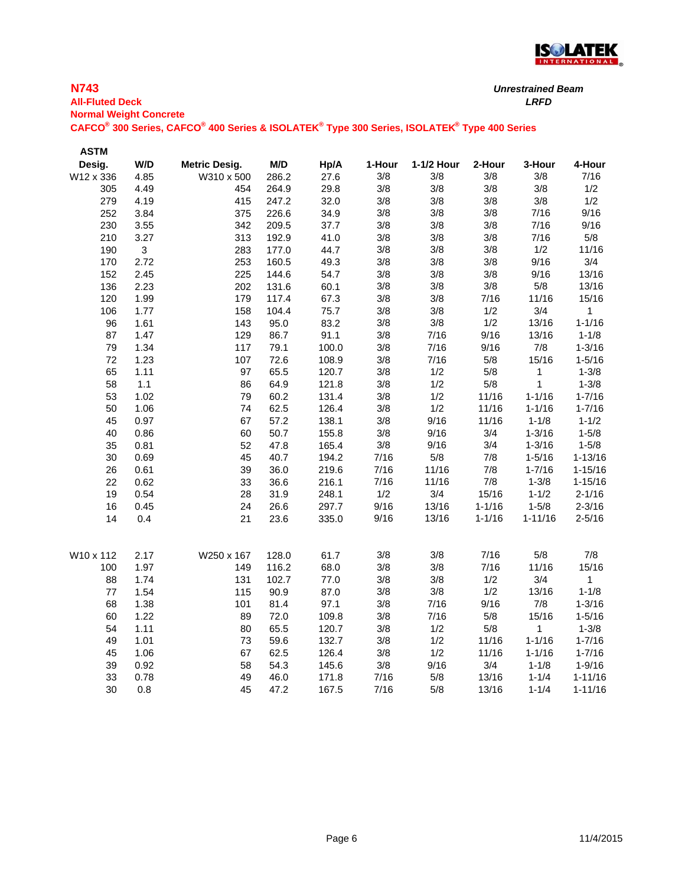

## **N743 All-Fluted Deck** *LRFD* **Normal Weight Concrete CAFCO® 300 Series, CAFCO® 400 Series & ISOLATEK® Type 300 Series, ISOLATEK® Type 400 Series** *Unrestrained Beam*

| <b>ASTM</b> |              |                      |       |       |        |            |            |              |              |
|-------------|--------------|----------------------|-------|-------|--------|------------|------------|--------------|--------------|
| Desig.      | W/D          | <b>Metric Desig.</b> | M/D   | Hp/A  | 1-Hour | 1-1/2 Hour | 2-Hour     | 3-Hour       | 4-Hour       |
| W12 x 336   | 4.85         | W310 x 500           | 286.2 | 27.6  | 3/8    | 3/8        | 3/8        | 3/8          | 7/16         |
| 305         | 4.49         | 454                  | 264.9 | 29.8  | 3/8    | 3/8        | 3/8        | 3/8          | 1/2          |
| 279         | 4.19         | 415                  | 247.2 | 32.0  | 3/8    | 3/8        | 3/8        | 3/8          | 1/2          |
| 252         | 3.84         | 375                  | 226.6 | 34.9  | 3/8    | 3/8        | 3/8        | 7/16         | 9/16         |
| 230         | 3.55         | 342                  | 209.5 | 37.7  | 3/8    | 3/8        | 3/8        | 7/16         | 9/16         |
| 210         | 3.27         | 313                  | 192.9 | 41.0  | 3/8    | 3/8        | 3/8        | 7/16         | 5/8          |
| 190         | $\mathbf{3}$ | 283                  | 177.0 | 44.7  | 3/8    | 3/8        | 3/8        | 1/2          | 11/16        |
| 170         | 2.72         | 253                  | 160.5 | 49.3  | 3/8    | 3/8        | 3/8        | 9/16         | 3/4          |
| 152         | 2.45         | 225                  | 144.6 | 54.7  | 3/8    | 3/8        | $3/8$      | 9/16         | 13/16        |
| 136         | 2.23         | 202                  | 131.6 | 60.1  | 3/8    | 3/8        | $3/8$      | $5/8$        | 13/16        |
| 120         | 1.99         | 179                  | 117.4 | 67.3  | 3/8    | 3/8        | 7/16       | 11/16        | 15/16        |
| 106         | 1.77         | 158                  | 104.4 | 75.7  | 3/8    | 3/8        | 1/2        | 3/4          | $\mathbf{1}$ |
| 96          | 1.61         | 143                  | 95.0  | 83.2  | 3/8    | 3/8        | 1/2        | 13/16        | $1 - 1/16$   |
| 87          | 1.47         | 129                  | 86.7  | 91.1  | 3/8    | 7/16       | 9/16       | 13/16        | $1 - 1/8$    |
| 79          | 1.34         | 117                  | 79.1  | 100.0 | 3/8    | 7/16       | 9/16       | 7/8          | $1 - 3/16$   |
| 72          | 1.23         | 107                  | 72.6  | 108.9 | 3/8    | 7/16       | $5/8$      | 15/16        | $1 - 5/16$   |
| 65          | 1.11         | 97                   | 65.5  | 120.7 | 3/8    | 1/2        | $5/8$      | 1            | $1 - 3/8$    |
| 58          | 1.1          | 86                   | 64.9  | 121.8 | 3/8    | 1/2        | 5/8        | $\mathbf{1}$ | $1 - 3/8$    |
| 53          | 1.02         | 79                   | 60.2  | 131.4 | 3/8    | 1/2        | 11/16      | $1 - 1/16$   | $1 - 7/16$   |
| 50          | 1.06         | 74                   | 62.5  | 126.4 | 3/8    | 1/2        | 11/16      | $1 - 1/16$   | $1 - 7/16$   |
| 45          | 0.97         | 67                   | 57.2  | 138.1 | 3/8    | 9/16       | 11/16      | $1 - 1/8$    | $1 - 1/2$    |
| 40          | 0.86         | 60                   | 50.7  | 155.8 | 3/8    | 9/16       | 3/4        | $1 - 3/16$   | $1 - 5/8$    |
| 35          | 0.81         | 52                   | 47.8  | 165.4 | 3/8    | 9/16       | 3/4        | $1 - 3/16$   | $1 - 5/8$    |
| 30          | 0.69         | 45                   | 40.7  | 194.2 | 7/16   | $5/8$      | 7/8        | $1 - 5/16$   | $1 - 13/16$  |
| 26          | 0.61         | 39                   | 36.0  | 219.6 | 7/16   | 11/16      | 7/8        | $1 - 7/16$   | $1 - 15/16$  |
| 22          | 0.62         | 33                   | 36.6  | 216.1 | 7/16   | 11/16      | 7/8        | $1 - 3/8$    | $1 - 15/16$  |
| 19          | 0.54         | 28                   | 31.9  | 248.1 | 1/2    | 3/4        | 15/16      | $1 - 1/2$    | $2 - 1/16$   |
| 16          | 0.45         | 24                   | 26.6  | 297.7 | 9/16   | 13/16      | $1 - 1/16$ | $1 - 5/8$    | $2 - 3/16$   |
| 14          | 0.4          | 21                   | 23.6  | 335.0 | 9/16   | 13/16      | $1 - 1/16$ | $1 - 11/16$  | $2 - 5/16$   |
| W10 x 112   | 2.17         | W250 x 167           | 128.0 | 61.7  | 3/8    | 3/8        | 7/16       | $5/8$        | 7/8          |
| 100         | 1.97         | 149                  | 116.2 | 68.0  | 3/8    | 3/8        | 7/16       | 11/16        | 15/16        |
| 88          | 1.74         | 131                  | 102.7 | 77.0  | 3/8    | $3/8$      | 1/2        | 3/4          | 1            |
| 77          | 1.54         | 115                  | 90.9  | 87.0  | 3/8    | 3/8        | 1/2        | 13/16        | $1 - 1/8$    |
| 68          | 1.38         | 101                  | 81.4  | 97.1  | 3/8    | 7/16       | 9/16       | 7/8          | $1 - 3/16$   |
| 60          | 1.22         | 89                   | 72.0  | 109.8 | 3/8    | 7/16       | $5/8$      | 15/16        | $1 - 5/16$   |
| 54          | 1.11         | 80                   | 65.5  | 120.7 | 3/8    | 1/2        | $5/8$      | 1            | $1 - 3/8$    |
| 49          | 1.01         | 73                   | 59.6  | 132.7 | 3/8    | 1/2        | 11/16      | $1 - 1/16$   | $1 - 7/16$   |
| 45          | 1.06         | 67                   | 62.5  | 126.4 | 3/8    | 1/2        | 11/16      | $1 - 1/16$   | $1 - 7/16$   |
| 39          | 0.92         | 58                   | 54.3  | 145.6 | 3/8    | 9/16       | 3/4        | $1 - 1/8$    | $1 - 9/16$   |
| 33          | 0.78         | 49                   | 46.0  | 171.8 | 7/16   | $5/8$      | 13/16      | $1 - 1/4$    | $1 - 11/16$  |
| 30          | 0.8          | 45                   | 47.2  | 167.5 | 7/16   | 5/8        | 13/16      | $1 - 1/4$    | $1 - 11/16$  |